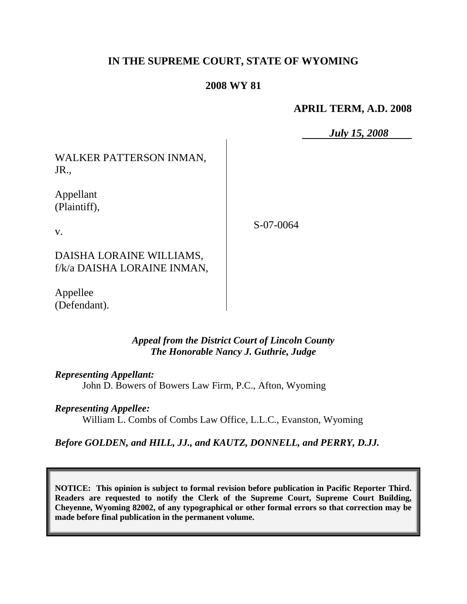# **IN THE SUPREME COURT, STATE OF WYOMING**

## **2008 WY 81**

## **APRIL TERM, A.D. 2008**

*July 15, 2008*

WALKER PATTERSON INMAN, JR.,

Appellant (Plaintiff),

v.

S-07-0064

DAISHA LORAINE WILLIAMS, f/k/a DAISHA LORAINE INMAN,

Appellee (Defendant).

> *Appeal from the District Court of Lincoln County The Honorable Nancy J. Guthrie, Judge*

*Representing Appellant:* John D. Bowers of Bowers Law Firm, P.C., Afton, Wyoming

*Representing Appellee:*

William L. Combs of Combs Law Office, L.L.C., Evanston, Wyoming

*Before GOLDEN, and HILL, JJ., and KAUTZ, DONNELL, and PERRY, D.JJ.*

**NOTICE: This opinion is subject to formal revision before publication in Pacific Reporter Third. Readers are requested to notify the Clerk of the Supreme Court, Supreme Court Building, Cheyenne, Wyoming 82002, of any typographical or other formal errors so that correction may be made before final publication in the permanent volume.**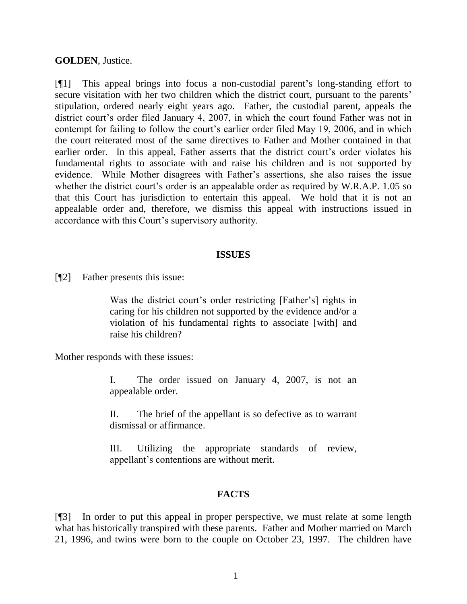#### **GOLDEN**, Justice.

[¶1] This appeal brings into focus a non-custodial parent"s long-standing effort to secure visitation with her two children which the district court, pursuant to the parents' stipulation, ordered nearly eight years ago. Father, the custodial parent, appeals the district court's order filed January 4, 2007, in which the court found Father was not in contempt for failing to follow the court's earlier order filed May 19, 2006, and in which the court reiterated most of the same directives to Father and Mother contained in that earlier order. In this appeal, Father asserts that the district court's order violates his fundamental rights to associate with and raise his children and is not supported by evidence. While Mother disagrees with Father"s assertions, she also raises the issue whether the district court's order is an appealable order as required by W.R.A.P. 1.05 so that this Court has jurisdiction to entertain this appeal. We hold that it is not an appealable order and, therefore, we dismiss this appeal with instructions issued in accordance with this Court's supervisory authority.

#### **ISSUES**

[¶2] Father presents this issue:

Was the district court's order restricting [Father's] rights in caring for his children not supported by the evidence and/or a violation of his fundamental rights to associate [with] and raise his children?

Mother responds with these issues:

I. The order issued on January 4, 2007, is not an appealable order.

II. The brief of the appellant is so defective as to warrant dismissal or affirmance.

III. Utilizing the appropriate standards of review, appellant"s contentions are without merit.

### **FACTS**

[¶3] In order to put this appeal in proper perspective, we must relate at some length what has historically transpired with these parents. Father and Mother married on March 21, 1996, and twins were born to the couple on October 23, 1997. The children have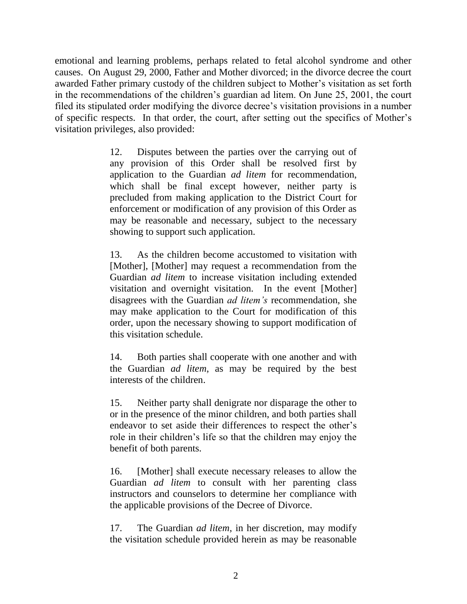emotional and learning problems, perhaps related to fetal alcohol syndrome and other causes. On August 29, 2000, Father and Mother divorced; in the divorce decree the court awarded Father primary custody of the children subject to Mother"s visitation as set forth in the recommendations of the children"s guardian ad litem. On June 25, 2001, the court filed its stipulated order modifying the divorce decree"s visitation provisions in a number of specific respects. In that order, the court, after setting out the specifics of Mother"s visitation privileges, also provided:

> 12. Disputes between the parties over the carrying out of any provision of this Order shall be resolved first by application to the Guardian *ad litem* for recommendation, which shall be final except however, neither party is precluded from making application to the District Court for enforcement or modification of any provision of this Order as may be reasonable and necessary, subject to the necessary showing to support such application.

> 13. As the children become accustomed to visitation with [Mother], [Mother] may request a recommendation from the Guardian *ad litem* to increase visitation including extended visitation and overnight visitation. In the event [Mother] disagrees with the Guardian *ad litem's* recommendation, she may make application to the Court for modification of this order, upon the necessary showing to support modification of this visitation schedule.

> 14. Both parties shall cooperate with one another and with the Guardian *ad litem*, as may be required by the best interests of the children.

> 15. Neither party shall denigrate nor disparage the other to or in the presence of the minor children, and both parties shall endeavor to set aside their differences to respect the other"s role in their children"s life so that the children may enjoy the benefit of both parents.

> 16. [Mother] shall execute necessary releases to allow the Guardian *ad litem* to consult with her parenting class instructors and counselors to determine her compliance with the applicable provisions of the Decree of Divorce.

> 17. The Guardian *ad litem*, in her discretion, may modify the visitation schedule provided herein as may be reasonable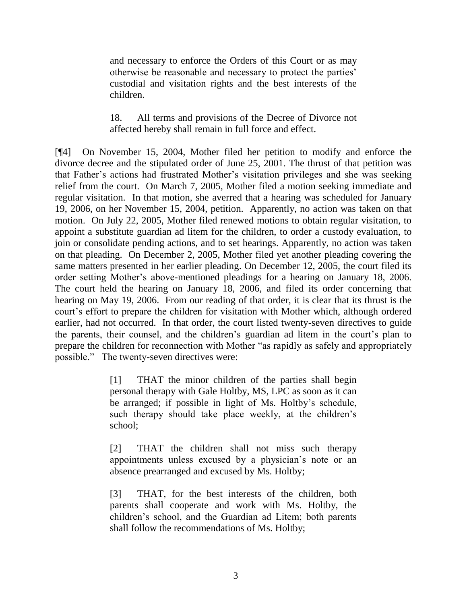and necessary to enforce the Orders of this Court or as may otherwise be reasonable and necessary to protect the parties" custodial and visitation rights and the best interests of the children.

### 18. All terms and provisions of the Decree of Divorce not affected hereby shall remain in full force and effect.

[¶4] On November 15, 2004, Mother filed her petition to modify and enforce the divorce decree and the stipulated order of June 25, 2001. The thrust of that petition was that Father"s actions had frustrated Mother"s visitation privileges and she was seeking relief from the court. On March 7, 2005, Mother filed a motion seeking immediate and regular visitation. In that motion, she averred that a hearing was scheduled for January 19, 2006, on her November 15, 2004, petition. Apparently, no action was taken on that motion. On July 22, 2005, Mother filed renewed motions to obtain regular visitation, to appoint a substitute guardian ad litem for the children, to order a custody evaluation, to join or consolidate pending actions, and to set hearings. Apparently, no action was taken on that pleading. On December 2, 2005, Mother filed yet another pleading covering the same matters presented in her earlier pleading. On December 12, 2005, the court filed its order setting Mother"s above-mentioned pleadings for a hearing on January 18, 2006. The court held the hearing on January 18, 2006, and filed its order concerning that hearing on May 19, 2006. From our reading of that order, it is clear that its thrust is the court"s effort to prepare the children for visitation with Mother which, although ordered earlier, had not occurred. In that order, the court listed twenty-seven directives to guide the parents, their counsel, and the children's guardian ad litem in the court's plan to prepare the children for reconnection with Mother "as rapidly as safely and appropriately possible." The twenty-seven directives were:

> [1] THAT the minor children of the parties shall begin personal therapy with Gale Holtby, MS, LPC as soon as it can be arranged; if possible in light of Ms. Holtby"s schedule, such therapy should take place weekly, at the children's school;

> [2] THAT the children shall not miss such therapy appointments unless excused by a physician's note or an absence prearranged and excused by Ms. Holtby;

> [3] THAT, for the best interests of the children, both parents shall cooperate and work with Ms. Holtby, the children"s school, and the Guardian ad Litem; both parents shall follow the recommendations of Ms. Holtby;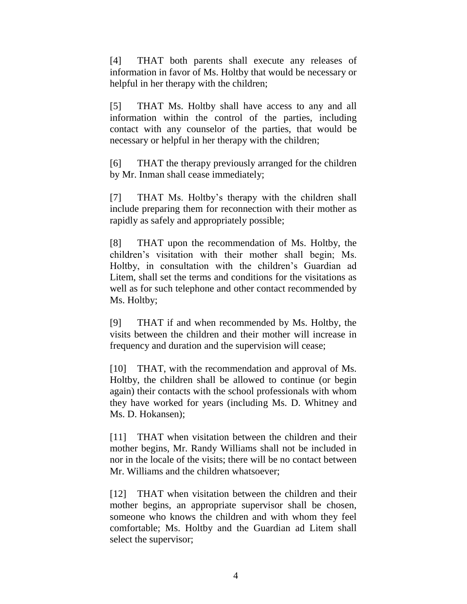[4] THAT both parents shall execute any releases of information in favor of Ms. Holtby that would be necessary or helpful in her therapy with the children;

[5] THAT Ms. Holtby shall have access to any and all information within the control of the parties, including contact with any counselor of the parties, that would be necessary or helpful in her therapy with the children;

[6] THAT the therapy previously arranged for the children by Mr. Inman shall cease immediately;

[7] THAT Ms. Holtby"s therapy with the children shall include preparing them for reconnection with their mother as rapidly as safely and appropriately possible;

[8] THAT upon the recommendation of Ms. Holtby, the children"s visitation with their mother shall begin; Ms. Holtby, in consultation with the children"s Guardian ad Litem, shall set the terms and conditions for the visitations as well as for such telephone and other contact recommended by Ms. Holtby;

[9] THAT if and when recommended by Ms. Holtby, the visits between the children and their mother will increase in frequency and duration and the supervision will cease;

[10] THAT, with the recommendation and approval of Ms. Holtby, the children shall be allowed to continue (or begin again) their contacts with the school professionals with whom they have worked for years (including Ms. D. Whitney and Ms. D. Hokansen);

[11] THAT when visitation between the children and their mother begins, Mr. Randy Williams shall not be included in nor in the locale of the visits; there will be no contact between Mr. Williams and the children whatsoever;

[12] THAT when visitation between the children and their mother begins, an appropriate supervisor shall be chosen, someone who knows the children and with whom they feel comfortable; Ms. Holtby and the Guardian ad Litem shall select the supervisor;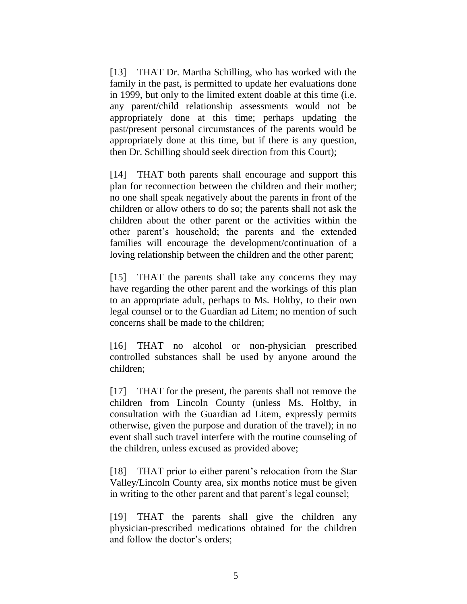[13] THAT Dr. Martha Schilling, who has worked with the family in the past, is permitted to update her evaluations done in 1999, but only to the limited extent doable at this time (i.e. any parent/child relationship assessments would not be appropriately done at this time; perhaps updating the past/present personal circumstances of the parents would be appropriately done at this time, but if there is any question, then Dr. Schilling should seek direction from this Court);

[14] THAT both parents shall encourage and support this plan for reconnection between the children and their mother; no one shall speak negatively about the parents in front of the children or allow others to do so; the parents shall not ask the children about the other parent or the activities within the other parent"s household; the parents and the extended families will encourage the development/continuation of a loving relationship between the children and the other parent;

[15] THAT the parents shall take any concerns they may have regarding the other parent and the workings of this plan to an appropriate adult, perhaps to Ms. Holtby, to their own legal counsel or to the Guardian ad Litem; no mention of such concerns shall be made to the children;

[16] THAT no alcohol or non-physician prescribed controlled substances shall be used by anyone around the children;

[17] THAT for the present, the parents shall not remove the children from Lincoln County (unless Ms. Holtby, in consultation with the Guardian ad Litem, expressly permits otherwise, given the purpose and duration of the travel); in no event shall such travel interfere with the routine counseling of the children, unless excused as provided above;

[18] THAT prior to either parent's relocation from the Star Valley/Lincoln County area, six months notice must be given in writing to the other parent and that parent's legal counsel;

[19] THAT the parents shall give the children any physician-prescribed medications obtained for the children and follow the doctor's orders: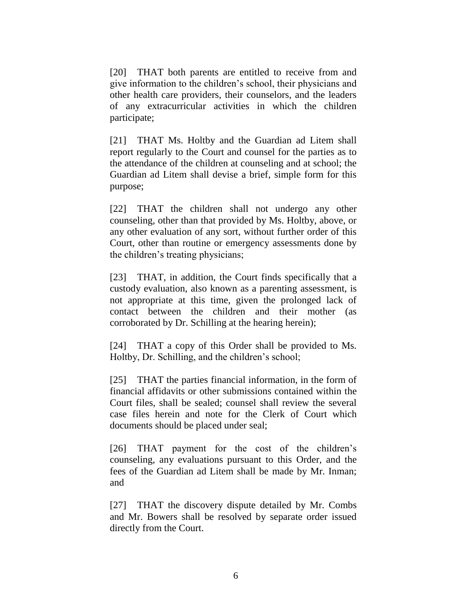[20] THAT both parents are entitled to receive from and give information to the children"s school, their physicians and other health care providers, their counselors, and the leaders of any extracurricular activities in which the children participate;

[21] THAT Ms. Holtby and the Guardian ad Litem shall report regularly to the Court and counsel for the parties as to the attendance of the children at counseling and at school; the Guardian ad Litem shall devise a brief, simple form for this purpose;

[22] THAT the children shall not undergo any other counseling, other than that provided by Ms. Holtby, above, or any other evaluation of any sort, without further order of this Court, other than routine or emergency assessments done by the children"s treating physicians;

[23] THAT, in addition, the Court finds specifically that a custody evaluation, also known as a parenting assessment, is not appropriate at this time, given the prolonged lack of contact between the children and their mother (as corroborated by Dr. Schilling at the hearing herein);

[24] THAT a copy of this Order shall be provided to Ms. Holtby, Dr. Schilling, and the children's school;

[25] THAT the parties financial information, in the form of financial affidavits or other submissions contained within the Court files, shall be sealed; counsel shall review the several case files herein and note for the Clerk of Court which documents should be placed under seal;

[26] THAT payment for the cost of the children's counseling, any evaluations pursuant to this Order, and the fees of the Guardian ad Litem shall be made by Mr. Inman; and

[27] THAT the discovery dispute detailed by Mr. Combs and Mr. Bowers shall be resolved by separate order issued directly from the Court.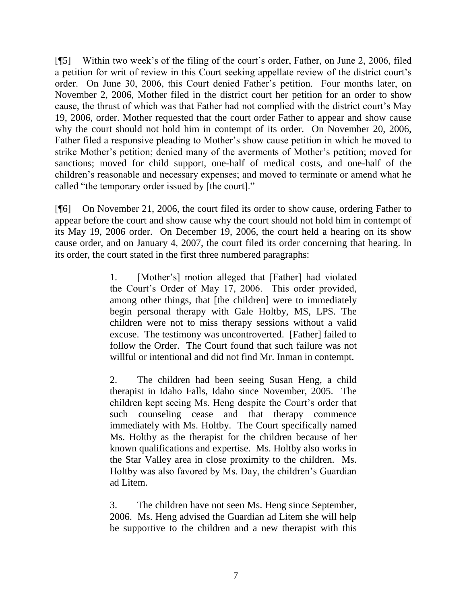[¶5] Within two week"s of the filing of the court"s order, Father, on June 2, 2006, filed a petition for writ of review in this Court seeking appellate review of the district court's order. On June 30, 2006, this Court denied Father"s petition. Four months later, on November 2, 2006, Mother filed in the district court her petition for an order to show cause, the thrust of which was that Father had not complied with the district court's May 19, 2006, order. Mother requested that the court order Father to appear and show cause why the court should not hold him in contempt of its order. On November 20, 2006, Father filed a responsive pleading to Mother's show cause petition in which he moved to strike Mother"s petition; denied many of the averments of Mother"s petition; moved for sanctions; moved for child support, one-half of medical costs, and one-half of the children"s reasonable and necessary expenses; and moved to terminate or amend what he called "the temporary order issued by [the court]."

[¶6] On November 21, 2006, the court filed its order to show cause, ordering Father to appear before the court and show cause why the court should not hold him in contempt of its May 19, 2006 order. On December 19, 2006, the court held a hearing on its show cause order, and on January 4, 2007, the court filed its order concerning that hearing. In its order, the court stated in the first three numbered paragraphs:

> 1. [Mother"s] motion alleged that [Father] had violated the Court"s Order of May 17, 2006. This order provided, among other things, that [the children] were to immediately begin personal therapy with Gale Holtby, MS, LPS. The children were not to miss therapy sessions without a valid excuse. The testimony was uncontroverted. [Father] failed to follow the Order. The Court found that such failure was not willful or intentional and did not find Mr. Inman in contempt.

> 2. The children had been seeing Susan Heng, a child therapist in Idaho Falls, Idaho since November, 2005. The children kept seeing Ms. Heng despite the Court"s order that such counseling cease and that therapy commence immediately with Ms. Holtby. The Court specifically named Ms. Holtby as the therapist for the children because of her known qualifications and expertise. Ms. Holtby also works in the Star Valley area in close proximity to the children. Ms. Holtby was also favored by Ms. Day, the children"s Guardian ad Litem.

> 3. The children have not seen Ms. Heng since September, 2006. Ms. Heng advised the Guardian ad Litem she will help be supportive to the children and a new therapist with this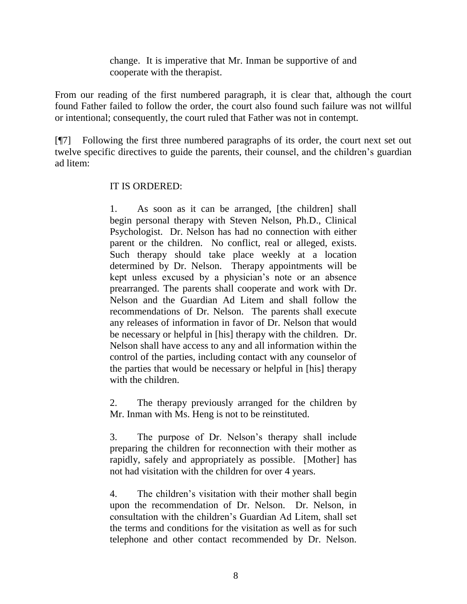change. It is imperative that Mr. Inman be supportive of and cooperate with the therapist.

From our reading of the first numbered paragraph, it is clear that, although the court found Father failed to follow the order, the court also found such failure was not willful or intentional; consequently, the court ruled that Father was not in contempt.

[¶7] Following the first three numbered paragraphs of its order, the court next set out twelve specific directives to guide the parents, their counsel, and the children"s guardian ad litem:

### IT IS ORDERED:

1. As soon as it can be arranged, [the children] shall begin personal therapy with Steven Nelson, Ph.D., Clinical Psychologist. Dr. Nelson has had no connection with either parent or the children. No conflict, real or alleged, exists. Such therapy should take place weekly at a location determined by Dr. Nelson. Therapy appointments will be kept unless excused by a physician"s note or an absence prearranged. The parents shall cooperate and work with Dr. Nelson and the Guardian Ad Litem and shall follow the recommendations of Dr. Nelson. The parents shall execute any releases of information in favor of Dr. Nelson that would be necessary or helpful in [his] therapy with the children. Dr. Nelson shall have access to any and all information within the control of the parties, including contact with any counselor of the parties that would be necessary or helpful in [his] therapy with the children.

2. The therapy previously arranged for the children by Mr. Inman with Ms. Heng is not to be reinstituted.

3. The purpose of Dr. Nelson"s therapy shall include preparing the children for reconnection with their mother as rapidly, safely and appropriately as possible. [Mother] has not had visitation with the children for over 4 years.

4. The children"s visitation with their mother shall begin upon the recommendation of Dr. Nelson. Dr. Nelson, in consultation with the children"s Guardian Ad Litem, shall set the terms and conditions for the visitation as well as for such telephone and other contact recommended by Dr. Nelson.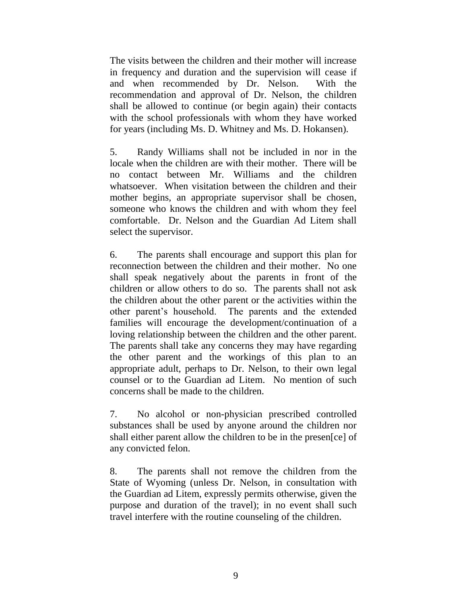The visits between the children and their mother will increase in frequency and duration and the supervision will cease if and when recommended by Dr. Nelson. With the recommendation and approval of Dr. Nelson, the children shall be allowed to continue (or begin again) their contacts with the school professionals with whom they have worked for years (including Ms. D. Whitney and Ms. D. Hokansen).

5. Randy Williams shall not be included in nor in the locale when the children are with their mother. There will be no contact between Mr. Williams and the children whatsoever. When visitation between the children and their mother begins, an appropriate supervisor shall be chosen, someone who knows the children and with whom they feel comfortable. Dr. Nelson and the Guardian Ad Litem shall select the supervisor.

6. The parents shall encourage and support this plan for reconnection between the children and their mother. No one shall speak negatively about the parents in front of the children or allow others to do so. The parents shall not ask the children about the other parent or the activities within the other parent"s household. The parents and the extended families will encourage the development/continuation of a loving relationship between the children and the other parent. The parents shall take any concerns they may have regarding the other parent and the workings of this plan to an appropriate adult, perhaps to Dr. Nelson, to their own legal counsel or to the Guardian ad Litem. No mention of such concerns shall be made to the children.

7. No alcohol or non-physician prescribed controlled substances shall be used by anyone around the children nor shall either parent allow the children to be in the presen[ce] of any convicted felon.

8. The parents shall not remove the children from the State of Wyoming (unless Dr. Nelson, in consultation with the Guardian ad Litem, expressly permits otherwise, given the purpose and duration of the travel); in no event shall such travel interfere with the routine counseling of the children.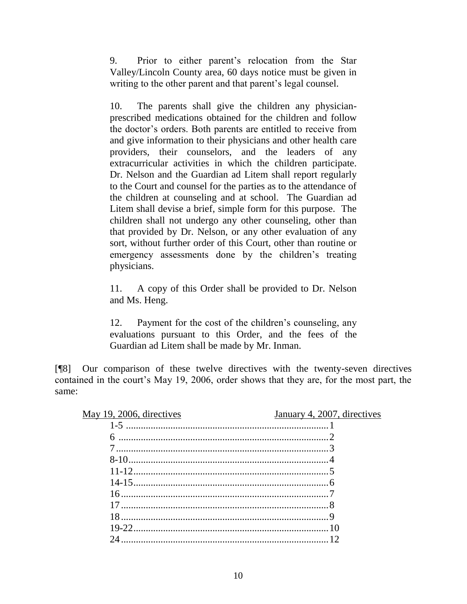9. Prior to either parent"s relocation from the Star Valley/Lincoln County area, 60 days notice must be given in writing to the other parent and that parent's legal counsel.

10. The parents shall give the children any physicianprescribed medications obtained for the children and follow the doctor"s orders. Both parents are entitled to receive from and give information to their physicians and other health care providers, their counselors, and the leaders of any extracurricular activities in which the children participate. Dr. Nelson and the Guardian ad Litem shall report regularly to the Court and counsel for the parties as to the attendance of the children at counseling and at school. The Guardian ad Litem shall devise a brief, simple form for this purpose. The children shall not undergo any other counseling, other than that provided by Dr. Nelson, or any other evaluation of any sort, without further order of this Court, other than routine or emergency assessments done by the children's treating physicians.

11. A copy of this Order shall be provided to Dr. Nelson and Ms. Heng.

12. Payment for the cost of the children"s counseling, any evaluations pursuant to this Order, and the fees of the Guardian ad Litem shall be made by Mr. Inman.

[¶8] Our comparison of these twelve directives with the twenty-seven directives contained in the court's May 19, 2006, order shows that they are, for the most part, the same:

| May 19, 2006, directives | January 4, 2007, directives |
|--------------------------|-----------------------------|
|                          |                             |
|                          |                             |
|                          |                             |
|                          |                             |
|                          |                             |
|                          |                             |
|                          |                             |
|                          |                             |
|                          |                             |
|                          |                             |
|                          |                             |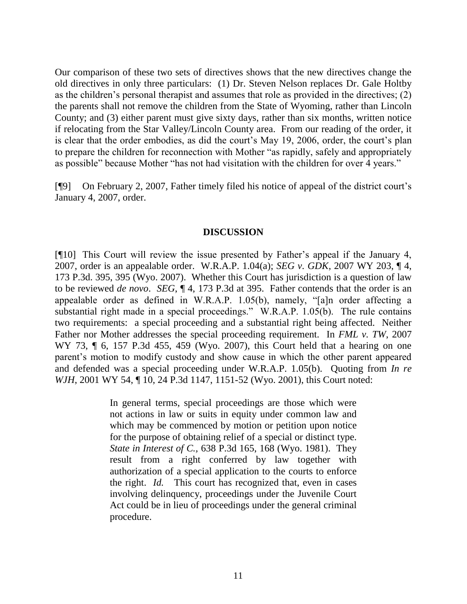Our comparison of these two sets of directives shows that the new directives change the old directives in only three particulars: (1) Dr. Steven Nelson replaces Dr. Gale Holtby as the children"s personal therapist and assumes that role as provided in the directives; (2) the parents shall not remove the children from the State of Wyoming, rather than Lincoln County; and (3) either parent must give sixty days, rather than six months, written notice if relocating from the Star Valley/Lincoln County area. From our reading of the order, it is clear that the order embodies, as did the court's May 19, 2006, order, the court's plan to prepare the children for reconnection with Mother "as rapidly, safely and appropriately as possible" because Mother "has not had visitation with the children for over 4 years."

[¶9] On February 2, 2007, Father timely filed his notice of appeal of the district court"s January 4, 2007, order.

#### **DISCUSSION**

[¶10] This Court will review the issue presented by Father"s appeal if the January 4, 2007, order is an appealable order. W.R.A.P. 1.04(a); *SEG v. GDK*, 2007 WY 203, ¶ 4, 173 P.3d. 395, 395 (Wyo. 2007). Whether this Court has jurisdiction is a question of law to be reviewed *de novo*. *SEG*, ¶ 4, 173 P.3d at 395. Father contends that the order is an appealable order as defined in W.R.A.P. 1.05(b), namely, "[a]n order affecting a substantial right made in a special proceedings." W.R.A.P. 1.05(b). The rule contains two requirements: a special proceeding and a substantial right being affected. Neither Father nor Mother addresses the special proceeding requirement. In *FML v. TW*, 2007 WY 73, ¶ 6, 157 P.3d 455, 459 (Wyo. 2007), this Court held that a hearing on one parent"s motion to modify custody and show cause in which the other parent appeared and defended was a special proceeding under W.R.A.P. 1.05(b). Quoting from *In re WJH*, 2001 WY 54, ¶ 10, 24 P.3d 1147, 1151-52 (Wyo. 2001), this Court noted:

> In general terms, special proceedings are those which were not actions in law or suits in equity under common law and which may be commenced by motion or petition upon notice for the purpose of obtaining relief of a special or distinct type. *State in Interest of C.,* 638 P.3d 165, 168 (Wyo. 1981). They result from a right conferred by law together with authorization of a special application to the courts to enforce the right. *Id.* This court has recognized that, even in cases involving delinquency, proceedings under the Juvenile Court Act could be in lieu of proceedings under the general criminal procedure.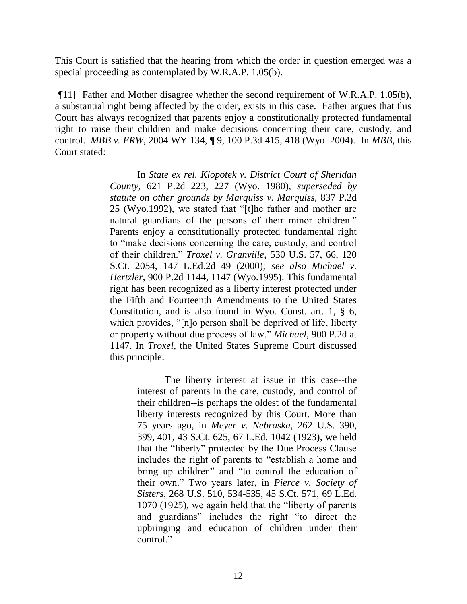This Court is satisfied that the hearing from which the order in question emerged was a special proceeding as contemplated by W.R.A.P. 1.05(b).

[¶11] Father and Mother disagree whether the second requirement of W.R.A.P. 1.05(b), a substantial right being affected by the order, exists in this case. Father argues that this Court has always recognized that parents enjoy a constitutionally protected fundamental right to raise their children and make decisions concerning their care, custody, and control. *MBB v. ERW*, 2004 WY 134, ¶ 9, 100 P.3d 415, 418 (Wyo. 2004). In *MBB,* this Court stated:

> In *State ex rel. Klopotek v. District Court of Sheridan County,* 621 P.2d 223, 227 (Wyo. 1980), *superseded by statute on other grounds by Marquiss v. Marquiss,* 837 P.2d 25 (Wyo.1992), we stated that "[t]he father and mother are natural guardians of the persons of their minor children." Parents enjoy a constitutionally protected fundamental right to "make decisions concerning the care, custody, and control of their children." *Troxel v. Granville,* 530 U.S. 57, 66, 120 S.Ct. 2054, 147 L.Ed.2d 49 (2000); *see also [Michael v.](http://web2.westlaw.com/find/default.wl?tf=-1&rs=WLW8.06&referencepositiontype=S&serialnum=1995161382&fn=_top&sv=Split&referenceposition=1147&findtype=Y&tc=-1&ordoc=2005465819&db=661&vr=2.0&rp=%2ffind%2fdefault.wl&mt=Wyoming)  Hertzler,* [900 P.2d 1144, 1147 \(Wyo.1995\).](http://web2.westlaw.com/find/default.wl?tf=-1&rs=WLW8.06&referencepositiontype=S&serialnum=1995161382&fn=_top&sv=Split&referenceposition=1147&findtype=Y&tc=-1&ordoc=2005465819&db=661&vr=2.0&rp=%2ffind%2fdefault.wl&mt=Wyoming) This fundamental right has been recognized as a liberty interest protected under the Fifth and Fourteenth Amendments to the United States Constitution, and is also found in Wyo. Const. art. 1, § 6, which provides, "[n]o person shall be deprived of life, liberty or property without due process of law." *Michael,* 900 P.2d at 1147. In *Troxel,* the United States Supreme Court discussed this principle:

> > The liberty interest at issue in this case--the interest of parents in the care, custody, and control of their children--is perhaps the oldest of the fundamental liberty interests recognized by this Court. More than 75 years ago, in *Meyer v. Nebraska,* 262 U.S. 390, 399, 401, 43 S.Ct. 625, 67 L.Ed. 1042 (1923), we held that the "liberty" protected by the Due Process Clause includes the right of parents to "establish a home and bring up children" and "to control the education of their own." Two years later, in *Pierce v. Society of Sisters,* 268 U.S. 510, 534-535, 45 S.Ct. 571, 69 L.Ed. 1070 (1925), we again held that the "liberty of parents and guardians" includes the right "to direct the upbringing and education of children under their control."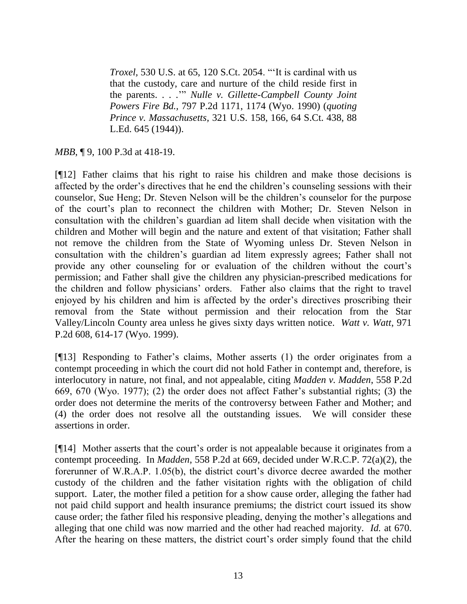*Troxel,* 530 U.S. at 65, 120 S.Ct. 2054. ""It is cardinal with us that the custody, care and nurture of the child reside first in the parents. . . ."" *Nulle v. Gillette-Campbell County Joint Powers Fire Bd.,* 797 P.2d 1171, 1174 (Wyo. 1990) (*quoting Prince v. Massachusetts,* [321 U.S. 158, 166, 64 S.Ct. 438, 88](http://web2.westlaw.com/find/default.wl?tf=-1&rs=WLW8.06&serialnum=1944116705&fn=_top&sv=Split&tc=-1&findtype=Y&ordoc=2005465819&db=708&vr=2.0&rp=%2ffind%2fdefault.wl&mt=Wyoming)  [L.Ed. 645 \(1944\)\)](http://web2.westlaw.com/find/default.wl?tf=-1&rs=WLW8.06&serialnum=1944116705&fn=_top&sv=Split&tc=-1&findtype=Y&ordoc=2005465819&db=708&vr=2.0&rp=%2ffind%2fdefault.wl&mt=Wyoming).

*MBB*, ¶ 9, 100 P.3d at 418-19.

[¶12] Father claims that his right to raise his children and make those decisions is affected by the order"s directives that he end the children"s counseling sessions with their counselor, Sue Heng; Dr. Steven Nelson will be the children"s counselor for the purpose of the court"s plan to reconnect the children with Mother; Dr. Steven Nelson in consultation with the children"s guardian ad litem shall decide when visitation with the children and Mother will begin and the nature and extent of that visitation; Father shall not remove the children from the State of Wyoming unless Dr. Steven Nelson in consultation with the children"s guardian ad litem expressly agrees; Father shall not provide any other counseling for or evaluation of the children without the court"s permission; and Father shall give the children any physician-prescribed medications for the children and follow physicians" orders. Father also claims that the right to travel enjoyed by his children and him is affected by the order"s directives proscribing their removal from the State without permission and their relocation from the Star Valley/Lincoln County area unless he gives sixty days written notice. *Watt v. Watt*, 971 P.2d 608, 614-17 (Wyo. 1999).

[¶13] Responding to Father"s claims, Mother asserts (1) the order originates from a contempt proceeding in which the court did not hold Father in contempt and, therefore, is interlocutory in nature, not final, and not appealable, citing *Madden v. Madden*, 558 P.2d 669, 670 (Wyo. 1977); (2) the order does not affect Father"s substantial rights; (3) the order does not determine the merits of the controversy between Father and Mother; and (4) the order does not resolve all the outstanding issues. We will consider these assertions in order.

[¶14] Mother asserts that the court"s order is not appealable because it originates from a contempt proceeding. In *Madden*, 558 P.2d at 669, decided under W.R.C.P. 72(a)(2), the forerunner of W.R.A.P. 1.05(b), the district court's divorce decree awarded the mother custody of the children and the father visitation rights with the obligation of child support. Later, the mother filed a petition for a show cause order, alleging the father had not paid child support and health insurance premiums; the district court issued its show cause order; the father filed his responsive pleading, denying the mother"s allegations and alleging that one child was now married and the other had reached majority. *Id.* at 670. After the hearing on these matters, the district court's order simply found that the child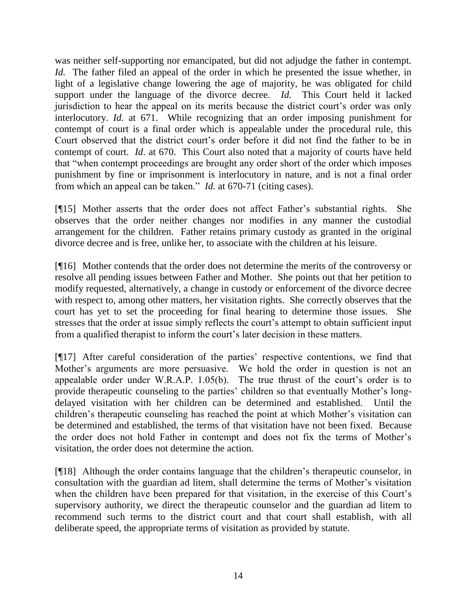was neither self-supporting nor emancipated, but did not adjudge the father in contempt. *Id.* The father filed an appeal of the order in which he presented the issue whether, in light of a legislative change lowering the age of majority, he was obligated for child support under the language of the divorce decree. *Id.* This Court held it lacked jurisdiction to hear the appeal on its merits because the district court's order was only interlocutory. *Id.* at 671. While recognizing that an order imposing punishment for contempt of court is a final order which is appealable under the procedural rule, this Court observed that the district court's order before it did not find the father to be in contempt of court. *Id*. at 670. This Court also noted that a majority of courts have held that "when contempt proceedings are brought any order short of the order which imposes punishment by fine or imprisonment is interlocutory in nature, and is not a final order from which an appeal can be taken." *Id.* at 670-71 (citing cases).

[¶15] Mother asserts that the order does not affect Father"s substantial rights. She observes that the order neither changes nor modifies in any manner the custodial arrangement for the children. Father retains primary custody as granted in the original divorce decree and is free, unlike her, to associate with the children at his leisure.

[¶16] Mother contends that the order does not determine the merits of the controversy or resolve all pending issues between Father and Mother. She points out that her petition to modify requested, alternatively, a change in custody or enforcement of the divorce decree with respect to, among other matters, her visitation rights. She correctly observes that the court has yet to set the proceeding for final hearing to determine those issues. She stresses that the order at issue simply reflects the court's attempt to obtain sufficient input from a qualified therapist to inform the court's later decision in these matters.

[¶17] After careful consideration of the parties" respective contentions, we find that Mother's arguments are more persuasive. We hold the order in question is not an appealable order under W.R.A.P.  $1.05(b)$ . The true thrust of the court's order is to provide therapeutic counseling to the parties" children so that eventually Mother"s longdelayed visitation with her children can be determined and established. Until the children"s therapeutic counseling has reached the point at which Mother"s visitation can be determined and established, the terms of that visitation have not been fixed. Because the order does not hold Father in contempt and does not fix the terms of Mother"s visitation, the order does not determine the action.

[¶18] Although the order contains language that the children"s therapeutic counselor, in consultation with the guardian ad litem, shall determine the terms of Mother"s visitation when the children have been prepared for that visitation, in the exercise of this Court's supervisory authority, we direct the therapeutic counselor and the guardian ad litem to recommend such terms to the district court and that court shall establish, with all deliberate speed, the appropriate terms of visitation as provided by statute.